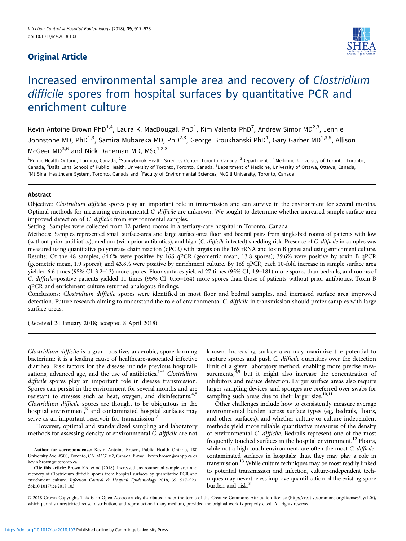# Original Article



# Increased environmental sample area and recovery of Clostridium difficile spores from hospital surfaces by quantitative PCR and enrichment culture

Kevin Antoine Brown PhD<sup>1,4</sup>, Laura K. MacDougall PhD<sup>1</sup>, Kim Valenta PhD<sup>7</sup>, Andrew Simor MD<sup>2,3</sup>, Jennie Johnstone MD, PhD<sup>1,3</sup>, Samira Mubareka MD, PhD<sup>2,3</sup>, George Broukhanski PhD<sup>1</sup>, Gary Garber MD<sup>1,3,5</sup>, Allison McGeer  $MD^{3,6}$  and Nick Daneman MD,  $MSc^{1,2,3}$ 

<sup>1</sup>Public Health Ontario, Toronto, Canada, <sup>2</sup>Sunnybrook Health Sciences Center, Toronto, Canada, <sup>3</sup>Department of Medicine, University of Toronto, Toronto, Canada, <sup>4</sup>Dalla Lana School of Public Health, University of Toronto, Toronto, Canada, <sup>5</sup>Department of Medicine, University of Ottawa, Ottawa, Canada, <sup>6</sup>Mt Sinai Healthcare System, Toronto, Canada and <sup>7</sup>Faculty of Environmental Sciences, McGill University, Toronto, Canada

#### Abstract

Objective: Clostridium difficile spores play an important role in transmission and can survive in the environment for several months. Optimal methods for measuring environmental C. difficile are unknown. We sought to determine whether increased sample surface area improved detection of C. difficile from environmental samples.

Setting: Samples were collected from 12 patient rooms in a tertiary-care hospital in Toronto, Canada.

Methods: Samples represented small surface-area and large surface-area floor and bedrail pairs from single-bed rooms of patients with low (without prior antibiotics), medium (with prior antibiotics), and high (C. difficile infected) shedding risk. Presence of C. difficile in samples was measured using quantitative polymerase chain reaction (qPCR) with targets on the 16S rRNA and toxin B genes and using enrichment culture. Results: Of the 48 samples, 64.6% were positive by 16S qPCR (geometric mean, 13.8 spores); 39.6% were positive by toxin B qPCR (geometric mean, 1.9 spores); and 43.8% were positive by enrichment culture. By 16S qPCR, each 10-fold increase in sample surface area yielded 6.6 times (95% CI, 3.2–13) more spores. Floor surfaces yielded 27 times (95% CI, 4.9–181) more spores than bedrails, and rooms of C. difficile–positive patients yielded 11 times (95% CI, 0.55–164) more spores than those of patients without prior antibiotics. Toxin B qPCR and enrichment culture returned analogous findings.

Conclusions: Clostridium difficile spores were identified in most floor and bedrail samples, and increased surface area improved detection. Future research aiming to understand the role of environmental C. difficile in transmission should prefer samples with large surface areas.

(Received 24 January 2018; accepted 8 April 2018)

Clostridium difficile is a gram-positive, anaerobic, spore-forming bacterium; it is a leading cause of healthcare-associated infective diarrhea. Risk factors for the disease include previous hospitalizations, advanced age, and the use of antibiotics. $1-3$  $1-3$  $1-3$  Clostridium difficile spores play an important role in disease transmission. Spores can persist in the environment for several months and are resistant to stresses such as heat, oxygen, and disinfectants.<sup>[4,5](#page-6-0)</sup> Clostridium difficile spores are thought to be ubiquitous in the hospital environment,<sup>[6](#page-6-0)</sup> and contaminated hospital surfaces may serve as an important reservoir for transmission.<sup>[7](#page-6-0)</sup>

However, optimal and standardized sampling and laboratory methods for assessing density of environmental C. difficile are not

Author for correspondence: Kevin Antoine Brown, Public Health Ontario, 480 University Ave, #300, Toronto, ON M5G1V2, Canada. E-mail: [kevin.brown@oahpp.ca](mailto:kevin.brown@oahpp.ca) or [kevin.brown@utoronto.ca](mailto:kevin.brown@utoronto.ca)

Cite this article: Brown KA, et al. (2018). Increased environmental sample area and recovery of Clostridium difficile spores from hospital surfaces by quantitative PCR and enrichment culture. Infection Control & Hospital Epidemiology 2018, 39, 917-923. doi:10.1017/ice.2018.103

known. Increasing surface area may maximize the potential to capture spores and push C. difficile quantities over the detection limit of a given laboratory method, enabling more precise mea-surements,<sup>[8,9](#page-6-0)</sup> but it might also increase the concentration of inhibitors and reduce detection. Larger surface areas also require larger sampling devices, and sponges are preferred over swabs for sampling such areas due to their larger size.<sup>[10](#page-6-0),[11](#page-6-0)</sup>

Other challenges include how to consistently measure average environmental burden across surface types (eg, bedrails, floors, and other surfaces), and whether culture or culture-independent methods yield more reliable quantitative measures of the density of environmental C. difficile. Bedrails represent one of the most frequently touched surfaces in the hospital environment.<sup>[12](#page-6-0)</sup> Floors, while not a high-touch environment, are often the most C. difficilecontaminated surfaces in hospitals; thus, they may play a role in transmission.<sup>13</sup> While culture techniques may be most readily linked to potential transmission and infection, culture-independent techniques may nevertheless improve quantification of the existing spore burden and risk.<sup>[8](#page-6-0)</sup>

© 2018 Crown Copyright. This is an Open Access article, distributed under the terms of the Creative Commons Attribution licence (http://creativecommons.org/licenses/by/4.0/), which permits unrestricted reuse, distribution, and reproduction in any medium, provided the original work is properly cited. All rights reserved.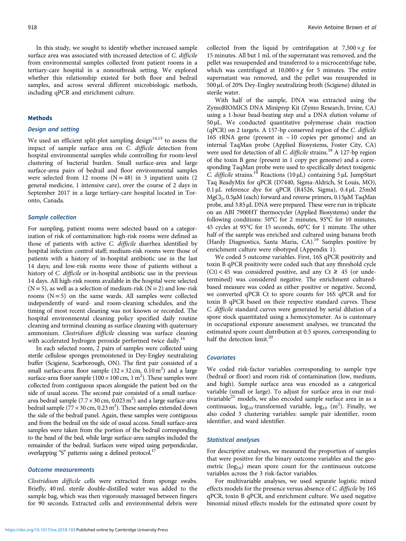In this study, we sought to identify whether increased sample surface area was associated with increased detection of C. difficile from environmental samples collected from patient rooms in a tertiary-care hospital in a nonoutbreak setting. We explored whether this relationship existed for both floor and bedrail samples, and across several different microbiologic methods, including qPCR and enrichment culture.

#### **Methods**

#### Design and setting

We used an efficient split-plot sampling design<sup>14,[15](#page-6-0)</sup> to assess the impact of sample surface area on C. difficile detection from hospital environmental samples while controlling for room-level clustering of bacterial burden. Small surface-area and large surface-area pairs of bedrail and floor environmental samples were selected from 12 rooms  $(N = 48)$  in 3 inpatient units (2) general medicine, 1 intensive care), over the course of 2 days in September 2017 in a large tertiary-care hospital located in Toronto, Canada.

#### Sample collection

For sampling, patient rooms were selected based on a categorization of risk of contamination: high-risk rooms were defined as those of patients with active C. difficile diarrhea identified by hospital infection control staff; medium-risk rooms were those of patients with a history of in-hospital antibiotic use in the last 14 days; and low-risk rooms were those of patients without a history of C. difficile or in-hospital antibiotic use in the previous 14 days. All high-risk rooms available in the hospital were selected  $(N=5)$ , as well as a selection of medium-risk  $(N=2)$  and low-risk rooms  $(N = 5)$  on the same wards. All samples were collected independently of ward- and room-cleaning schedules, and the timing of most recent cleaning was not known or recorded. The hospital environmental cleaning policy specified daily routine cleaning and terminal cleaning as surface cleaning with quaternary ammonium. Clostridium difficile cleaning was surface cleaning with accelerated hydrogen peroxide performed twice daily.<sup>[16](#page-6-0)</sup>

In each selected room, 2 pairs of samples were collected using sterile cellulose sponges premoistened in Dey-Engley neutralizing buffer (Scigiene, Scarborough, ON). The first pair consisted of a small surface-area floor sample  $(32 \times 32 \text{ cm}, 0.10 \text{ m}^2)$  and a large surface-area floor sample ( $100 \times 100$  cm, 1 m<sup>2</sup>). These samples were collected from contiguous spaces alongside the patient bed on the side of usual access. The second pair consisted of a small surfacearea bedrail sample (7.7  $\times$  30 cm, 0.023 m<sup>2</sup>) and a large surface-area bedrail sample ( $77 \times 30$  cm, 0.23 m<sup>2</sup>). These samples extended down the side of the bedrail panel. Again, these samples were contiguous and from the bedrail on the side of usual access. Small surface-area samples were taken from the portion of the bedrail corresponding to the head of the bed, while large surface-area samples included the remainder of the bedrail. Surfaces were wiped using perpendicular, overlapping "S" patterns using a defined protocol.<sup>17</sup>

#### Outcome measurements

Clostridium difficile cells were extracted from sponge swabs. Briefly, 40 mL sterile double-distilled water was added to the sample bag, which was then vigorously massaged between fingers for 90 seconds. Extracted cells and environmental debris were collected from the liquid by centrifugation at  $7,500 \times g$  for 15 minutes. All but 1 mL of the supernatant was removed, and the pellet was resuspended and transferred to a microcentrifuge tube, which was centrifuged at  $10,000 \times g$  for 5 minutes. The entire supernatant was removed, and the pellet was resuspended in 500 µL of 20% Dey-Engley neutralizing broth (Scigiene) diluted in sterile water.

With half of the sample, DNA was extracted using the ZymoBIOMICS DNA Miniprep Kit (Zymo Research, Irvine, CA) using a 1-hour bead-beating step and a DNA elution volume of 50 µL. We conducted quantitative polymerase chain reaction (qPCR) on 2 targets. A 157-bp conserved region of the C. difficile 16S rRNA gene (present in ~ 10 copies per genome) and an internal TaqMan probe (Applied Biosystems, Foster City, CA) were used for detection of all C. difficile strains.<sup>18</sup> A 127-bp region of the toxin B gene (present in 1 copy per genome) and a corresponding TaqMan probe were used to specifically detect toxigenic C. difficile strains.<sup>[19](#page-6-0)</sup> Reactions (10 µL) containing 5 µL JumpStart Taq ReadyMix for qPCR (D7440, Sigma-Aldrich, St Louis, MO), 0.1 µL reference dye for qPCR (R4526, Sigma), 0.4 µL 25mM MgCl<sub>2</sub>, 0.5µM (each) forward and reverse primers, 0.15µM TaqMan probe, and 3.85 µL DNA were prepared. These were run in triplicate on an ABI 7900HT thermocycler (Applied Biosystems) under the following conditions: 50°C for 2 minutes, 95°C for 10 minutes, 45 cycles at 95°C for 15 seconds, 60°C for 1 minute. The other half of the sample was enriched and cultured using banana broth (Hardy Diagnostics, Santa Maria, CA).<sup>[19](#page-6-0)</sup> Samples positive by enrichment culture were ribotyped (Appendix 1).

We coded 5 outcome variables. First, 16S qPCR positivity and toxin B qPCR positivity were coded such that any threshold cycle  $(Ct)$  < 45 was considered positive, and any Ct ≥ 45 (or undetermined) was considered negative. The enrichment culturedbased measure was coded as either positive or negative. Second, we converted qPCR Ct to spore counts for 16S qPCR and for toxin B qPCR based on their respective standard curves. These C. difficile standard curves were generated by serial dilution of a spore stock quantitated using a hemocytometer. As is customary in occupational exposure assessment analyses, we truncated the estimated spore count distribution at 0.5 spores, corresponding to half the detection limit.<sup>[20](#page-6-0)</sup>

#### **Covariates**

We coded risk-factor variables corresponding to sample type (bedrail or floor) and room risk of contamination (low, medium, and high). Sample surface area was encoded as a categorical variable (small or large). To adjust for surface area in our multivariable $^{21}$  models, we also encoded sample surface area in as a continuous,  $log_{10}$ -transformed variable,  $log_{10}$  (m<sup>2</sup>). Finally, we also coded 3 clustering variables: sample pair identifier, room identifier, and ward identifier.

#### Statistical analyses

For descriptive analyses, we measured the proportion of samples that were positive for the binary outcome variables and the geometric  $(log_{10})$  mean spore count for the continuous outcome variables across the 3 risk-factor variables.

For multivariable analyses, we used separate logistic mixed effects models for the presence versus absence of C. difficile by 16S qPCR, toxin B qPCR, and enrichment culture. We used negative binomial mixed effects models for the estimated spore count by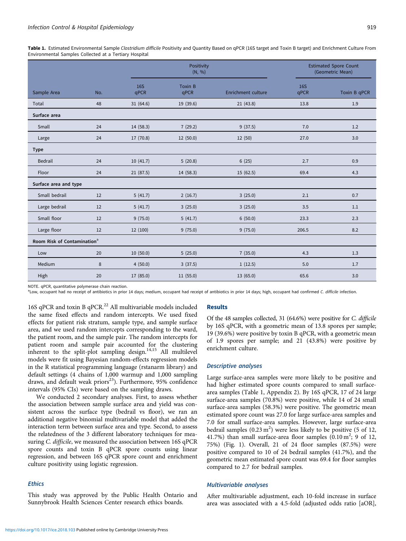Table 1. Estimated Environmental Sample Clostridium difficile Positivity and Quantity Based on qPCR (16S target and Toxin B target) and Enrichment Culture From Environmental Samples Collected at a Tertiary Hospital

|                                         |     |                    | Positivity<br>(N, %)   |                           |                    | <b>Estimated Spore Count</b><br>(Geometric Mean) |  |
|-----------------------------------------|-----|--------------------|------------------------|---------------------------|--------------------|--------------------------------------------------|--|
| Sample Area                             | No. | <b>16S</b><br>qPCR | <b>Toxin B</b><br>qPCR | <b>Enrichment culture</b> | <b>16S</b><br>qPCR | Toxin B qPCR                                     |  |
| Total                                   | 48  | 31(64.6)           | 19 (39.6)              | 21(43.8)                  | 13.8               | 1.9                                              |  |
| Surface area                            |     |                    |                        |                           |                    |                                                  |  |
| Small                                   | 24  | 14(58.3)           | 7(29.2)                | 9(37.5)                   | 7.0                | 1.2                                              |  |
| Large                                   | 24  | 17 (70.8)          | 12(50.0)               | 12 (50)                   | 27.0               | 3.0                                              |  |
| <b>Type</b>                             |     |                    |                        |                           |                    |                                                  |  |
| <b>Bedrail</b>                          | 24  | 10(41.7)           | 5(20.8)                | 6(25)                     | 2.7                | 0.9                                              |  |
| Floor                                   | 24  | 21(87.5)           | 14 (58.3)              | 15(62.5)                  | 69.4               | 4.3                                              |  |
| Surface area and type                   |     |                    |                        |                           |                    |                                                  |  |
| Small bedrail                           | 12  | 5(41.7)            | 2(16.7)                | 3(25.0)                   | 2.1                | 0.7                                              |  |
| Large bedrail                           | 12  | 5(41.7)            | 3(25.0)                | 3(25.0)                   | 3.5                | 1.1                                              |  |
| Small floor                             | 12  | 9(75.0)            | 5(41.7)                | 6(50.0)                   | 23.3               | 2.3                                              |  |
| Large floor                             | 12  | 12 (100)           | 9(75.0)                | 9(75.0)                   | 206.5              | 8.2                                              |  |
| Room Risk of Contamination <sup>a</sup> |     |                    |                        |                           |                    |                                                  |  |
| Low                                     | 20  | 10(50.0)           | 5(25.0)                | 7(35.0)                   | 4.3                | 1.3                                              |  |
| Medium                                  | 8   | 4(50.0)            | 3(37.5)                | 1(12.5)                   | 5.0                | 1.7                                              |  |
| High                                    | 20  | 17 (85.0)          | 11 (55.0)              | 13 (65.0)                 | 65.6               | 3.0                                              |  |

NOTE. qPCR, quantitative polymerase chain reaction.

<sup>a</sup>Low, occupant had no receipt of antibiotics in prior 14 days; medium, occupant had receipt of antibiotics in prior 14 days; high, occupant had confirmed C. difficile infection.

16S qPCR and toxin B qPCR.<sup>22</sup> All multivariable models included the same fixed effects and random intercepts. We used fixed effects for patient risk stratum, sample type, and sample surface area, and we used random intercepts corresponding to the ward, the patient room, and the sample pair. The random intercepts for patient room and sample pair accounted for the clustering inherent to the split-plot sampling design.<sup>[14,15](#page-6-0)</sup> All multilevel models were fit using Bayesian random-effects regression models in the R statistical programming language (rstanarm library) and default settings (4 chains of 1,000 warmup and 1,000 sampling draws, and default weak priors<sup>23</sup>). Furthermore, 95% confidence intervals (95% CIs) were based on the sampling draws.

We conducted 2 secondary analyses. First, to assess whether the association between sample surface area and yield was consistent across the surface type (bedrail vs floor), we ran an additional negative binomial multivariable model that added the interaction term between surface area and type. Second, to assess the relatedness of the 3 different laboratory techniques for measuring C. difficile, we measured the association between 16S qPCR spore counts and toxin B qPCR spore counts using linear regression, and between 16S qPCR spore count and enrichment culture positivity using logistic regression.

# **Ethics**

This study was approved by the Public Health Ontario and Sunnybrook Health Sciences Center research ethics boards.

#### Results

Of the 48 samples collected, 31 (64.6%) were positive for C. difficile by 16S qPCR, with a geometric mean of 13.8 spores per sample; 19 (39.6%) were positive by toxin B qPCR, with a geometric mean of 1.9 spores per sample; and 21 (43.8%) were positive by enrichment culture.

#### Descriptive analyses

Large surface-area samples were more likely to be positive and had higher estimated spore counts compared to small surfacearea samples (Table 1, Appendix 2). By 16S qPCR, 17 of 24 large surface-area samples (70.8%) were positive, while 14 of 24 small surface-area samples (58.3%) were positive. The geometric mean estimated spore count was 27.0 for large surface-area samples and 7.0 for small surface-area samples. However, large surface-area bedrail samples  $(0.23 \text{ m}^2)$  were less likely to be positive (5 of 12, 41.7%) than small surface-area floor samples  $(0.10 \text{ m}^2; 9 \text{ of } 12,$ 75%) [\(Fig. 1\)](#page-3-0). Overall, 21 of 24 floor samples (87.5%) were positive compared to 10 of 24 bedrail samples (41.7%), and the geometric mean estimated spore count was 69.4 for floor samples compared to 2.7 for bedrail samples.

#### Multivariable analyses

After multivariable adjustment, each 10-fold increase in surface area was associated with a 4.5-fold (adjusted odds ratio [aOR],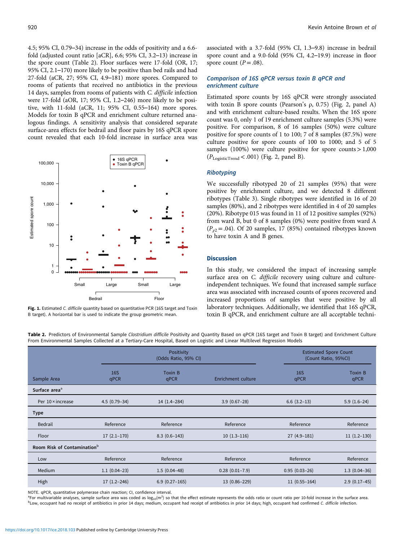<span id="page-3-0"></span>4.5; 95% CI, 0.79–34) increase in the odds of positivity and a 6.6 fold (adjusted count ratio [aCR], 6.6; 95% CI, 3.2–13) increase in the spore count (Table 2). Floor surfaces were 17-fold (OR, 17; 95% CI, 2.1–170) more likely to be positive than bed rails and had 27-fold (aCR, 27; 95% CI, 4.9–181) more spores. Compared to rooms of patients that received no antibiotics in the previous 14 days, samples from rooms of patients with C. difficile infection were 17-fold (aOR, 17; 95% CI, 1.2–246) more likely to be positive, with 11-fold (aCR, 11; 95% CI, 0.55–164) more spores. Models for toxin B qPCR and enrichment culture returned analogous findings. A sensitivity analysis that considered separate surface-area effects for bedrail and floor pairs by 16S qPCR spore count revealed that each 10-fold increase in surface area was





#### associated with a 3.7-fold (95% CI, 1.3–9.8) increase in bedrail spore count and a 9.0-fold (95% CI, 4.2–19.9) increase in floor spore count  $(P=.08)$ .

#### Comparison of 16S qPCR versus toxin B qPCR and enrichment culture

Estimated spore counts by 16S qPCR were strongly associated with toxin B spore counts (Pearson's  $ρ$ , 0.75) ([Fig. 2](#page-4-0), panel A) and with enrichment culture-based results. When the 16S spore count was 0, only 1 of 19 enrichment culture samples (5.3%) were positive. For comparison, 8 of 16 samples (50%) were culture positive for spore counts of 1 to 100; 7 of 8 samples (87.5%) were culture positive for spore counts of 100 to 1000; and 5 of 5 samples (100%) were culture positive for spore counts  $>1,000$  $(P_{LogisticTrend} < .001)$  [\(Fig. 2,](#page-4-0) panel B).

### Ribotyping

We successfully ribotyped 20 of 21 samples (95%) that were positive by enrichment culture, and we detected 8 different ribotypes [\(Table 3](#page-5-0)). Single ribotypes were identified in 16 of 20 samples (80%), and 2 ribotypes were identified in 4 of 20 samples (20%). Ribotype 015 was found in 11 of 12 positive samples (92%) from ward B, but 0 of 8 samples (0%) were positive from ward A  $(P_{\gamma2} = .04)$ . Of 20 samples, 17 (85%) contained ribotypes known to have toxin A and B genes.

## **Discussion**

In this study, we considered the impact of increasing sample surface area on C. difficile recovery using culture and cultureindependent techniques. We found that increased sample surface area was associated with increased counts of spores recovered and increased proportions of samples that were positive by all laboratory techniques. Additionally, we identified that 16S qPCR, toxin B qPCR, and enrichment culture are all acceptable techni-

Table 2. Predictors of Environmental Sample Clostridium difficile Positivity and Quantity Based on qPCR (16S target and Toxin B target) and Enrichment Culture From Environmental Samples Collected at a Tertiary-Care Hospital, Based on Logistic and Linear Multilevel Regression Models

|                                         | Positivity<br>(Odds Ratio, 95% CI) |                 |                       | <b>Estimated Spore Count</b><br>(Count Ratio, 95%CI) |                        |  |  |  |
|-----------------------------------------|------------------------------------|-----------------|-----------------------|------------------------------------------------------|------------------------|--|--|--|
| Sample Area                             | <b>16S</b><br>qPCR                 | Toxin B<br>qPCR | Enrichment culture    | <b>16S</b><br>qPCR                                   | <b>Toxin B</b><br>qPCR |  |  |  |
| Surface area <sup>a</sup>               |                                    |                 |                       |                                                      |                        |  |  |  |
| Per 10 × increase                       | $4.5(0.79-34)$                     | $14(1.4-284)$   | $3.9(0.67-28)$        | $6.6$ $(3.2-13)$                                     | $5.9(1.6-24)$          |  |  |  |
| <b>Type</b>                             |                                    |                 |                       |                                                      |                        |  |  |  |
| Bedrail                                 | Reference                          | Reference       | Reference             | Reference                                            | Reference              |  |  |  |
| Floor                                   | $17(2.1-170)$                      | $8.3(0.6-143)$  | $10(1.3-116)$         | $27(4.9-181)$                                        | $11(1.2-130)$          |  |  |  |
| Room Risk of Contamination <sup>b</sup> |                                    |                 |                       |                                                      |                        |  |  |  |
| Low                                     | Reference                          | Reference       | Reference             | Reference                                            | Reference              |  |  |  |
| Medium                                  | $1.1(0.04-23)$                     | $1.5(0.04-48)$  | $0.28$ $(0.01 - 7.9)$ | $0.95(0.03-26)$                                      | $1.3(0.04-36)$         |  |  |  |
| High                                    | $17(1.2 - 246)$                    | $6.9(0.27-165)$ | 13 (0.86-229)         | $11(0.55 - 164)$                                     | $2.9(0.17-45)$         |  |  |  |

NOTE. qPCR, quantitative polymerase chain reaction; CI, confidence interval.

<sup>a</sup> For multivariable analyses, sample surface area was coded as  $log_{10}(m^2)$  so that the effect estimate represents the odds ratio or count ratio per 10-fold increase in the surface area.<br><sup>b</sup>l ow occupant had no receipt o <sup>b</sup>Low, occupant had no receipt of antibiotics in prior 14 days; medium, occupant had receipt of antibiotics in prior 14 days; high, occupant had confirmed C. difficile infection.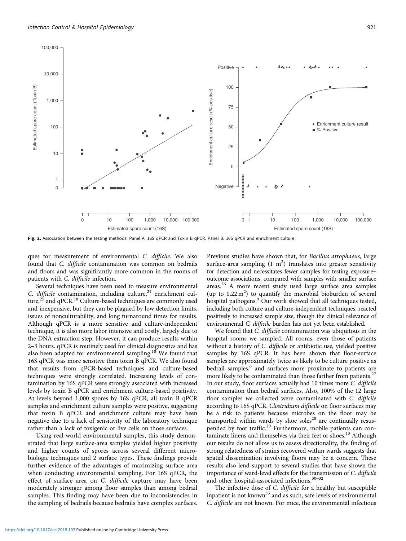<span id="page-4-0"></span>

Fig. 2. Association between the testing methods. Panel A: 16S qPCR and Toxin B qPCR. Panel B: 16S qPCR and enrichment culture.

ques for measurement of environmental C. difficile. We also found that C. difficile contamination was common on bedrails and floors and was significantly more common in the rooms of patients with C. difficile infection.

Several techniques have been used to measure environmental C. difficile contamination, including culture, $24$  enrichment culture, $25$  and qPCR.<sup>[18](#page-6-0)</sup> Culture-based techniques are commonly used and inexpensive, but they can be plagued by low detection limits, issues of nonculturability, and long turnaround times for results. Although qPCR is a more sensitive and culture-independent technique, it is also more labor intensive and costly, largely due to the DNA extraction step. However, it can produce results within 2–3 hours. qPCR is routinely used for clinical diagnostics and has also been adapted for environmental sampling.<sup>[18](#page-6-0)</sup> We found that 16S qPCR was more sensitive than toxin B qPCR. We also found that results from qPCR-based techniques and culture-based techniques were strongly correlated. Increasing levels of contamination by 16S qPCR were strongly associated with increased levels by toxin B qPCR and enrichment culture-based positivity. At levels beyond 1,000 spores by 16S qPCR, all toxin B qPCR samples and enrichment culture samples were positive, suggesting that toxin B qPCR and enrichment culture may have been negative due to a lack of sensitivity of the laboratory technique rather than a lack of toxigenic or live cells on those surfaces.

Using real-world environmental samples, this study demonstrated that large surface-area samples yielded higher positivity and higher counts of spores across several different microbiologic techniques and 2 surface types. These findings provide further evidence of the advantages of maximizing surface area when conducting environmental sampling. For 16S qPCR, the effect of surface area on C. difficile capture may have been moderately stronger among floor samples than among bedrail samples. This finding may have been due to inconsistencies in the sampling of bedrails because bedrails have complex surfaces.

Previous studies have shown that, for Bacillus atrophaeus, large surface-area sampling  $(1 \text{ m}^2)$  translates into greater sensitivity for detection and necessitates fewer samples for testing exposure– outcome associations, compared with samples with smaller surface areas.<sup>[26](#page-6-0)</sup> A more recent study used large surface area samples (up to  $0.22 \text{ m}^2$ ) to quantify the microbial bioburden of several hospital pathogens.<sup>[9](#page-6-0)</sup> Our work showed that all techniques tested, including both culture and culture-independent techniques, reacted positively to increased sample size, though the clinical relevance of environmental C. difficile burden has not yet been established.

We found that *C. difficile* contamination was ubiquitous in the hospital rooms we sampled. All rooms, even those of patients without a history of C. difficile or antibiotic use, yielded positive samples by 16S qPCR. It has been shown that floor-surface samples are approximately twice as likely to be culture positive as bedrail samples,<sup>[6](#page-6-0)</sup> and surfaces more proximate to patients are more likely to be contaminated than those farther from patients.<sup>[27](#page-6-0)</sup> In our study, floor surfaces actually had 10 times more C. difficile contamination than bedrail surfaces. Also, 100% of the 12 large floor samples we collected were contaminated with C. difficile according to 16S qPCR. Clostridium difficile on floor surfaces may be a risk to patients because microbes on the floor may be transported within wards by shoe soles $^{28}$  are continually resus-pended by foot traffic.<sup>[29](#page-6-0)</sup> Furthermore, mobile patients can con-taminate linens and themselves via their feet or shoes.<sup>[13](#page-6-0)</sup> Although our results do not allow us to assess directionality, the finding of strong relatedness of strains recovered within wards suggests that spatial dissemination involving floors may be a concern. These results also lend support to several studies that have shown the importance of ward-level effects for the transmission of C. difficile and other hospital-associated infections.[30](#page-6-0)–[32](#page-6-0)

The infective dose of C. difficile for a healthy but susceptible inpatient is not known<sup>[33](#page-6-0)</sup> and as such, safe levels of environmental C. difficile are not known. For mice, the environmental infectious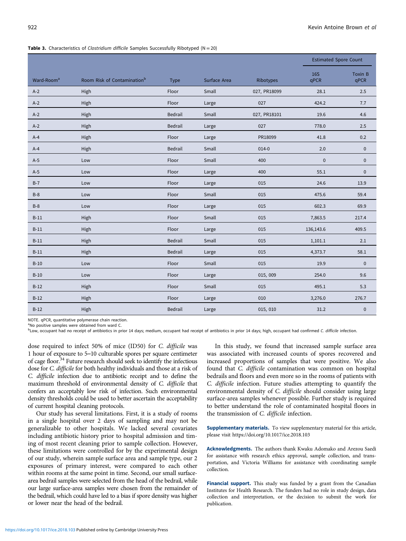|                        |                                         |             |              |              |                    | <b>Estimated Spore Count</b> |  |
|------------------------|-----------------------------------------|-------------|--------------|--------------|--------------------|------------------------------|--|
| Ward-Room <sup>a</sup> | Room Risk of Contamination <sup>b</sup> | <b>Type</b> | Surface Area | Ribotypes    | <b>16S</b><br>qPCR | Toxin B<br>qPCR              |  |
| $A-2$                  | High                                    | Floor       | Small        | 027, PR18099 | 28.1               | 2.5                          |  |
| $A-2$                  | High                                    | Floor       | Large        | 027          | 424.2              | 7.7                          |  |
| $A-2$                  | High                                    | Bedrail     | Small        | 027, PR18101 | 19.6               | 4.6                          |  |
| $A-2$                  | High                                    | Bedrail     | Large        | 027          | 778.0              | 2.5                          |  |
| $A-4$                  | High                                    | Floor       | Large        | PR18099      | 41.8               | 0.2                          |  |
| $A-4$                  | High                                    | Bedrail     | Small        | $014 - 0$    | 2.0                | $\pmb{0}$                    |  |
| $A-5$                  | Low                                     | Floor       | Small        | 400          | $\pmb{0}$          | $\mathbf 0$                  |  |
| $A-5$                  | Low                                     | Floor       | Large        | 400          | 55.1               | $\pmb{0}$                    |  |
| $B-7$                  | Low                                     | Floor       | Large        | 015          | 24.6               | 13.9                         |  |
| $B-8$                  | Low                                     | Floor       | Small        | 015          | 475.6              | 59.4                         |  |
| $B-8$                  | Low                                     | Floor       | Large        | 015          | 602.3              | 69.9                         |  |
| $B-11$                 | High                                    | Floor       | Small        | 015          | 7,863.5            | 217.4                        |  |
| $B-11$                 | High                                    | Floor       | Large        | 015          | 136,143.6          | 409.5                        |  |
| $B-11$                 | High                                    | Bedrail     | Small        | 015          | 1,101.1            | 2.1                          |  |
| $B-11$                 | High                                    | Bedrail     | Large        | 015          | 4,373.7            | 58.1                         |  |
| $B-10$                 | Low                                     | Floor       | Small        | 015          | 19.9               | $\mathsf{O}\xspace$          |  |
| $B-10$                 | Low                                     | Floor       | Large        | 015, 009     | 254.0              | 9.6                          |  |
| $B-12$                 | High                                    | Floor       | Small        | 015          | 495.1              | 5.3                          |  |
| $B-12$                 | High                                    | Floor       | Large        | 010          | 3,276.0            | 276.7                        |  |
| $B-12$                 | High                                    | Bedrail     | Large        | 015, 010     | 31.2               | $\pmb{0}$                    |  |

#### <span id="page-5-0"></span>Table 3. Characteristics of Clostridium difficile Samples Successfully Ribotyped ( $N = 20$ )

NOTE. qPCR, quantitative polymerase chain reaction.

<sup>a</sup>No positive samples were obtained from ward C.

bLow, occupant had no receipt of antibiotics in prior 14 days; medium, occupant had receipt of antibiotics in prior 14 days; high, occupant had confirmed C. difficile infection.

dose required to infect 50% of mice (ID50) for C. difficile was 1 hour of exposure to 5–10 culturable spores per square centimeter of cage floor. $34$  Future research should seek to identify the infectious dose for C. difficile for both healthy individuals and those at a risk of C. difficile infection due to antibiotic receipt and to define the maximum threshold of environmental density of C. difficile that confers an acceptably low risk of infection. Such environmental density thresholds could be used to better ascertain the acceptability of current hospital cleaning protocols.

Our study has several limitations. First, it is a study of rooms in a single hospital over 2 days of sampling and may not be generalizable to other hospitals. We lacked several covariates including antibiotic history prior to hospital admission and timing of most recent cleaning prior to sample collection. However, these limitations were controlled for by the experimental design of our study, wherein sample surface area and sample type, our 2 exposures of primary interest, were compared to each other within rooms at the same point in time. Second, our small surfacearea bedrail samples were selected from the head of the bedrail, while our large surface-area samples were chosen from the remainder of the bedrail, which could have led to a bias if spore density was higher or lower near the head of the bedrail.

In this study, we found that increased sample surface area was associated with increased counts of spores recovered and increased proportions of samples that were positive. We also found that C. difficile contamination was common on hospital bedrails and floors and even more so in the rooms of patients with C. difficile infection. Future studies attempting to quantify the environmental density of C. difficile should consider using large surface-area samples whenever possible. Further study is required to better understand the role of contaminated hospital floors in the transmission of C. difficile infection.

Supplementary materials. To view supplementary material for this article, please visit https://doi.org/10.1017/ice.2018.103

Acknowledgments. The authors thank Kwaku Adomako and Arezou Saedi for assistance with research ethics approval, sample collection, and transportation, and Victoria Williams for assistance with coordinating sample collection.

Financial support. This study was funded by a grant from the Canadian Institutes for Health Research. The funders had no role in study design, data collection and interpretation, or the decision to submit the work for publication.